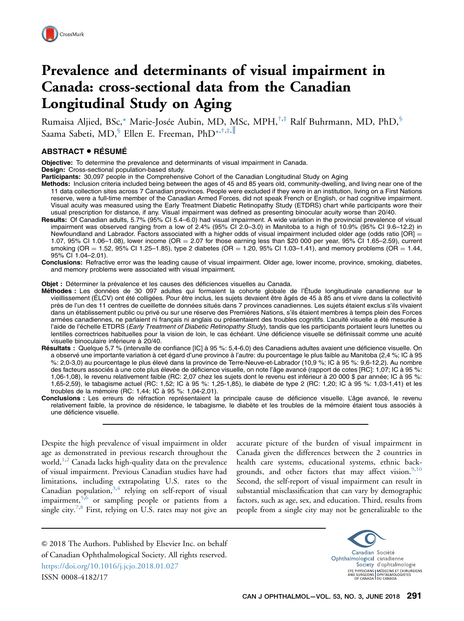

# Prevalence and determinants of visual impairment in Canada: cross-sectional data from the Canadian Longitudinal Study on Aging

Rumaisa Aljied, BSc,\* Marie-Josée Aubin, MD, MSc, MPH,†,‡ Ralf Buhrmann, MD, PhD,§ Saama Sabeti, MD, Ellen E. Freeman, PhD<sup>\*,†,‡,||</sup>

## ABSTRACT ● RÉSUMÉ

Objective: To determine the prevalence and determinants of visual impairment in Canada.

Design: Cross-sectional population-based study.

Participants: 30,097 people in the Comprehensive Cohort of the Canadian Longitudinal Study on Aging

- Methods: Inclusion criteria included being between the ages of 45 and 85 years old, community-dwelling, and living near one of the 11 data collection sites across 7 Canadian provinces. People were excluded if they were in an institution, living on a First Nations reserve, were a full-time member of the Canadian Armed Forces, did not speak French or English, or had cognitive impairment. Visual acuity was measured using the Early Treatment Diabetic Retinopathy Study (ETDRS) chart while participants wore their usual prescription for distance, if any. Visual impairment was defined as presenting binocular acuity worse than 20/40.
- Results: Of Canadian adults, 5.7% (95% CI 5.4–6.0) had visual impairment. A wide variation in the provincial prevalence of visual impairment was observed ranging from a low of 2.4% (95% CI 2.0–3.0) in Manitoba to a high of 10.9% (95% CI 9.6–12.2) in Newfoundland and Labrador. Factors associated with a higher odds of visual impairment included older age (odds ratio [OR]  $=$ 1.07, 95% CI 1.06–1.08), lower income (OR = 2.07 for those earning less than \$20 000 per year, 95% CI 1.65–2.59), current smoking (OR = 1.52, 95% CI 1.25–1.85), type 2 diabetes (OR = 1.20, 95% CI 1.03–1.41), and memory problems (OR = 1.44, 95% CI 1.04–2.01).
- Conclusions: Refractive error was the leading cause of visual impairment. Older age, lower income, province, smoking, diabetes, and memory problems were associated with visual impairment.

Objet : Déterminer la prévalence et les causes des déficiences visuelles au Canada.

- Méthodes : Les données de 30 097 adultes qui formaient la cohorte globale de l'Étude longitudinale canadienne sur le vieillissement (ÉLCV) ont été colligées. Pour être inclus, les sujets devaient être âgés de 45 à 85 ans et vivre dans la collectivité près de l'un des 11 centres de cueillette de données situés dans 7 provinces canadiennes. Les sujets étaient exclus s'ils vivaient dans un établissement public ou privé ou sur une réserve des Premières Nations, s'ils étaient membres à temps plein des Forces armées canadiennes, ne parlaient ni français ni anglais ou présentaient des troubles cognitifs. L'acuité visuelle a été mesurée à l'aide de l'échelle ETDRS (Early Treatment of Diabetic Retinopathy Study), tandis que les participants portaient leurs lunettes ou lentilles correctrices habituelles pour la vision de loin, le cas échéant. Une déficience visuelle se définissait comme une acuité visuelle binoculaire inférieure à 20/40.
- Résultats : Quelque 5,7 % (intervalle de confiance [IC] à 95 %: 5,4-6,0) des Canadiens adultes avaient une déficience visuelle. On a observé une importante variation à cet égard d'une province à l'autre: du pourcentage le plus faible au Manitoba (2,4 %; IC à 95 %: 2,0-3,0) au pourcentage le plus élevé dans la province de Terre-Neuve-et-Labrador (10,9 %; IC à 95 %: 9,6-12,2). Au nombre des facteurs associés à une cote plus élevée de déficience visuelle, on note l'âge avancé (rapport de cotes [RC]: 1,07; IC à 95 %: 1,06-1,08), le revenu relativement faible (RC: 2,07 chez les sujets dont le revenu est inférieur à 20 000 \$ par année; IC à 95 %: 1,65-2,59), le tabagisme actuel (RC: 1,52; IC à 95 %: 1,25-1,85), le diabète de type 2 (RC: 1,20; IC à 95 %: 1,03-1,41) et les troubles de la mémoire (RC: 1,44; IC à 95 %: 1,04-2,01).
- Conclusions : Les erreurs de réfraction représentaient la principale cause de déficience visuelle. L'âge avancé, le revenu relativement faible, la province de résidence, le tabagisme, le diabète et les troubles de la mémoire étaient tous associés à une déficience visuelle.

Despite the high prevalence of visual impairment in older age as demonstrated in previous research throughout the world, $1,2$  Canada lacks high-quality data on the prevalence of visual impairment. Previous Canadian studies have had limitations, including extrapolating U.S. rates to the Canadian population,  $3,4$  relying on self-report of visual impairment,[5,6](#page-5-0) or sampling people or patients from a single city.<sup>7,8</sup> First, relying on U.S. rates may not give an

accurate picture of the burden of visual impairment in Canada given the differences between the 2 countries in health care systems, educational systems, ethnic back-grounds, and other factors that may affect vision.<sup>[9,10](#page-5-0)</sup> Second, the self-report of visual impairment can result in substantial misclassification that can vary by demographic factors, such as age, sex, and education. Third, results from people from a single city may not be generalizable to the

& 2018 The Authors. Published by Elsevier Inc. on behalf of Canadian Ophthalmological Society. All rights reserved. <https://doi.org/10.1016/j.jcjo.2018.01.027> [ISSN 0008-4182/17](https://doi.org/10.1016/j.jcjo.2018.01.027)

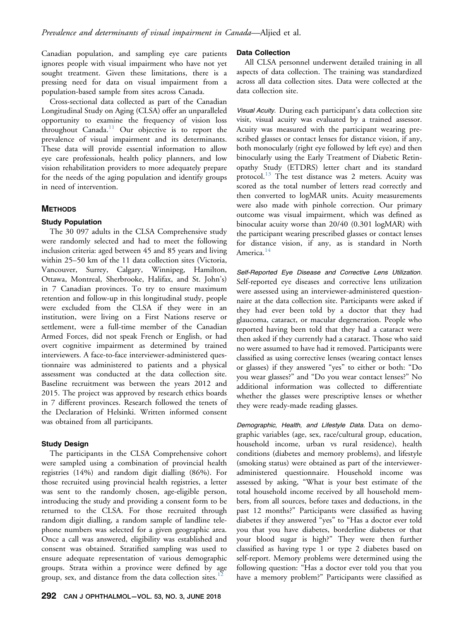Canadian population, and sampling eye care patients ignores people with visual impairment who have not yet sought treatment. Given these limitations, there is a pressing need for data on visual impairment from a population-based sample from sites across Canada.

Cross-sectional data collected as part of the Canadian Longitudinal Study on Aging (CLSA) offer an unparalleled opportunity to examine the frequency of vision loss throughout Canada.<sup>[11](#page-5-0)</sup> Our objective is to report the prevalence of visual impairment and its determinants. These data will provide essential information to allow eye care professionals, health policy planners, and low vision rehabilitation providers to more adequately prepare for the needs of the aging population and identify groups in need of intervention.

# **METHODS**

## Study Population

The 30 097 adults in the CLSA Comprehensive study were randomly selected and had to meet the following inclusion criteria: aged between 45 and 85 years and living within 25–50 km of the 11 data collection sites (Victoria, Vancouver, Surrey, Calgary, Winnipeg, Hamilton, Ottawa, Montreal, Sherbrooke, Halifax, and St. John's) in 7 Canadian provinces. To try to ensure maximum retention and follow-up in this longitudinal study, people were excluded from the CLSA if they were in an institution, were living on a First Nations reserve or settlement, were a full-time member of the Canadian Armed Forces, did not speak French or English, or had overt cognitive impairment as determined by trained interviewers. A face-to-face interviewer-administered questionnaire was administered to patients and a physical assessment was conducted at the data collection site. Baseline recruitment was between the years 2012 and 2015. The project was approved by research ethics boards in 7 different provinces. Research followed the tenets of the Declaration of Helsinki. Written informed consent was obtained from all participants.

## Study Design

The participants in the CLSA Comprehensive cohort were sampled using a combination of provincial health registries (14%) and random digit dialling (86%). For those recruited using provincial health registries, a letter was sent to the randomly chosen, age-eligible person, introducing the study and providing a consent form to be returned to the CLSA. For those recruited through random digit dialling, a random sample of landline telephone numbers was selected for a given geographic area. Once a call was answered, eligibility was established and consent was obtained. Stratified sampling was used to ensure adequate representation of various demographic groups. Strata within a province were defined by age group, sex, and distance from the data collection sites.<sup>1</sup>

## Data Collection

All CLSA personnel underwent detailed training in all aspects of data collection. The training was standardized across all data collection sites. Data were collected at the data collection site.

Visual Acuity. During each participant's data collection site visit, visual acuity was evaluated by a trained assessor. Acuity was measured with the participant wearing prescribed glasses or contact lenses for distance vision, if any, both monocularly (right eye followed by left eye) and then binocularly using the Early Treatment of Diabetic Retinopathy Study (ETDRS) letter chart and its standard protocol.<sup>[13](#page-5-0)</sup> The test distance was 2 meters. Acuity was scored as the total number of letters read correctly and then converted to logMAR units. Acuity measurements were also made with pinhole correction. Our primary outcome was visual impairment, which was defined as binocular acuity worse than 20/40 (0.301 logMAR) with the participant wearing prescribed glasses or contact lenses for distance vision, if any, as is standard in North America.<sup>[14](#page-5-0)</sup>

Self-Reported Eye Disease and Corrective Lens Utilization. Self-reported eye diseases and corrective lens utilization were assessed using an interviewer-administered questionnaire at the data collection site. Participants were asked if they had ever been told by a doctor that they had glaucoma, cataract, or macular degeneration. People who reported having been told that they had a cataract were then asked if they currently had a cataract. Those who said no were assumed to have had it removed. Participants were classified as using corrective lenses (wearing contact lenses or glasses) if they answered "yes" to either or both: "Do you wear glasses?" and "Do you wear contact lenses?" No additional information was collected to differentiate whether the glasses were prescriptive lenses or whether they were ready-made reading glasses.

Demographic, Health, and Lifestyle Data. Data on demographic variables (age, sex, race/cultural group, education, household income, urban vs rural residence), health conditions (diabetes and memory problems), and lifestyle (smoking status) were obtained as part of the intervieweradministered questionnaire. Household income was assessed by asking, "What is your best estimate of the total household income received by all household members, from all sources, before taxes and deductions, in the past 12 months?" Participants were classified as having diabetes if they answered "yes" to "Has a doctor ever told you that you have diabetes, borderline diabetes or that your blood sugar is high?" They were then further classified as having type 1 or type 2 diabetes based on self-report. Memory problems were determined using the following question: "Has a doctor ever told you that you have a memory problem?" Participants were classified as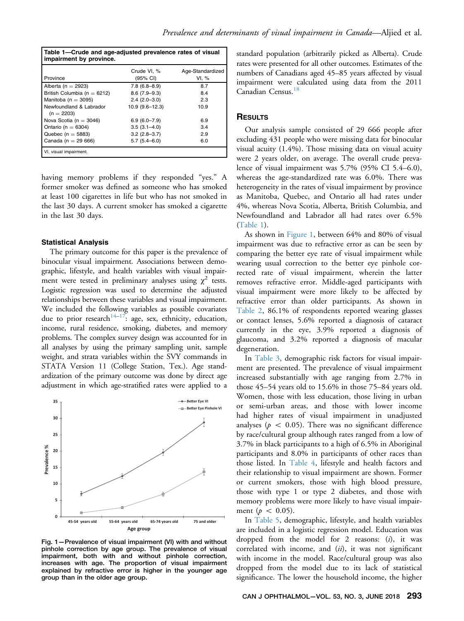| Table 1—Crude and age-adjusted prevalence rates of visual<br>impairment by province. |                    |                  |  |  |  |  |
|--------------------------------------------------------------------------------------|--------------------|------------------|--|--|--|--|
|                                                                                      | Crude VI. %        | Age-Standardized |  |  |  |  |
| Province                                                                             | (95% CI)           | VI. $%$          |  |  |  |  |
| Alberta ( $n = 2923$ )                                                               | $7.8(6.8 - 8.9)$   | 8.7              |  |  |  |  |
| British Columbia ( $n = 6212$ )                                                      | $8.6(7.9-9.3)$     | 8.4              |  |  |  |  |
| Manitoba ( $n = 3095$ )                                                              | $2.4(2.0-3.0)$     | 2.3              |  |  |  |  |
| Newfoundland & Labrador<br>$(n = 2203)$                                              | $10.9(9.6 - 12.3)$ | 10.9             |  |  |  |  |
| Nova Scotia ( $n = 3046$ )                                                           | $6.9(6.0 - 7.9)$   | 6.9              |  |  |  |  |
| Ontario ( $n = 6304$ )                                                               | $3.5(3.1 - 4.0)$   | 3.4              |  |  |  |  |
| Quebec ( $n = 5883$ )                                                                | $3.2(2.8 - 3.7)$   | 2.9              |  |  |  |  |
| Canada ( $n = 29666$ )                                                               | $5.7(5.4 - 6.0)$   | 6.0              |  |  |  |  |
| VI, visual impairment.                                                               |                    |                  |  |  |  |  |

having memory problems if they responded "yes." A former smoker was defined as someone who has smoked at least 100 cigarettes in life but who has not smoked in the last 30 days. A current smoker has smoked a cigarette in the last 30 days.

### Statistical Analysis

The primary outcome for this paper is the prevalence of binocular visual impairment. Associations between demographic, lifestyle, and health variables with visual impairment were tested in preliminary analyses using  $\chi^2$  tests. Logistic regression was used to determine the adjusted relationships between these variables and visual impairment. We included the following variables as possible covariates due to prior research $1^{4-17}$  $1^{4-17}$  $1^{4-17}$ : age, sex, ethnicity, education, income, rural residence, smoking, diabetes, and memory problems. The complex survey design was accounted for in all analyses by using the primary sampling unit, sample weight, and strata variables within the SVY commands in STATA Version 11 (College Station, Tex.). Age standardization of the primary outcome was done by direct age adjustment in which age-stratified rates were applied to a



Fig. 1—Prevalence of visual impairment (VI) with and without pinhole correction by age group. The prevalence of visual impairment, both with and without pinhole correction, increases with age. The proportion of visual impairment explained by refractive error is higher in the younger age group than in the older age group.

standard population (arbitrarily picked as Alberta). Crude rates were presented for all other outcomes. Estimates of the numbers of Canadians aged 45–85 years affected by visual impairment were calculated using data from the 2011 Canadian Census.<sup>[18](#page-6-0)</sup>

## **RESULTS**

Our analysis sample consisted of 29 666 people after excluding 431 people who were missing data for binocular visual acuity (1.4%). Those missing data on visual acuity were 2 years older, on average. The overall crude prevalence of visual impairment was 5.7% (95% CI 5.4–6.0), whereas the age-standardized rate was 6.0%. There was heterogeneity in the rates of visual impairment by province as Manitoba, Quebec, and Ontario all had rates under 4%, whereas Nova Scotia, Alberta, British Columbia, and Newfoundland and Labrador all had rates over 6.5% (Table 1).

As shown in Figure 1, between 64% and 80% of visual impairment was due to refractive error as can be seen by comparing the better eye rate of visual impairment while wearing usual correction to the better eye pinhole corrected rate of visual impairment, wherein the latter removes refractive error. Middle-aged participants with visual impairment were more likely to be affected by refractive error than older participants. As shown in [Table 2,](#page-3-0) 86.1% of respondents reported wearing glasses or contact lenses, 5.6% reported a diagnosis of cataract currently in the eye, 3.9% reported a diagnosis of glaucoma, and 3.2% reported a diagnosis of macular degeneration.

In [Table 3,](#page-3-0) demographic risk factors for visual impairment are presented. The prevalence of visual impairment increased substantially with age ranging from 2.7% in those 45–54 years old to 15.6% in those 75–84 years old. Women, those with less education, those living in urban or semi-urban areas, and those with lower income had higher rates of visual impairment in unadjusted analyses ( $p < 0.05$ ). There was no significant difference by race/cultural group although rates ranged from a low of 3.7% in black participants to a high of 6.5% in Aboriginal participants and 8.0% in participants of other races than those listed. In [Table 4](#page-3-0), lifestyle and health factors and their relationship to visual impairment are shown. Former or current smokers, those with high blood pressure, those with type 1 or type 2 diabetes, and those with memory problems were more likely to have visual impairment ( $p < 0.05$ ).

In [Table 5](#page-4-0), demographic, lifestyle, and health variables are included in a logistic regression model. Education was dropped from the model for 2 reasons:  $(i)$ , it was correlated with income, and  $(ii)$ , it was not significant with income in the model. Race/cultural group was also dropped from the model due to its lack of statistical significance. The lower the household income, the higher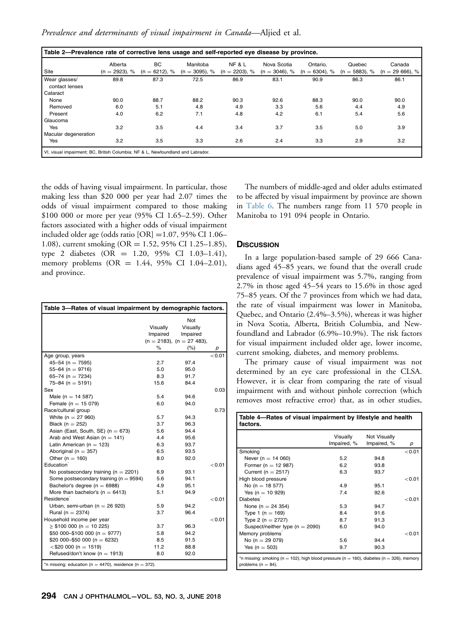<span id="page-3-0"></span>

| Table 2—Prevalence rate of corrective lens usage and self-reported eye disease by province. |                 |                 |                  |                  |                  |                  |                  |                  |
|---------------------------------------------------------------------------------------------|-----------------|-----------------|------------------|------------------|------------------|------------------|------------------|------------------|
|                                                                                             | Alberta         | BC.             | Manitoba         | NF&L             | Nova Scotia      | Ontario.         | Quebec           | Canada           |
| Site                                                                                        | $(n = 2923), %$ | $(n = 6212), %$ | $(n = 3095)$ , % | $(n = 2203)$ , % | $(n = 3046)$ , % | $(n = 6304)$ , % | $(n = 5883)$ , % | $(n = 29666), %$ |
| Wear glasses/                                                                               | 89.8            | 87.3            | 72.5             | 86.9             | 83.1             | 90.9             | 86.3             | 86.1             |
| contact lenses                                                                              |                 |                 |                  |                  |                  |                  |                  |                  |
| Cataract                                                                                    |                 |                 |                  |                  |                  |                  |                  |                  |
| None                                                                                        | 90.0            | 88.7            | 88.2             | 90.3             | 92.6             | 88.3             | 90.0             | 90.0             |
| Removed                                                                                     | 6.0             | 5.1             | 4.8              | 4.9              | 3.3              | 5.6              | 4.4              | 4.9              |
| Present                                                                                     | 4.0             | 6.2             | 7.1              | 4.8              | 4.2              | 6.1              | 5.4              | 5.6              |
| Glaucoma                                                                                    |                 |                 |                  |                  |                  |                  |                  |                  |
| Yes                                                                                         | 3.2             | 3.5             | 4.4              | 3.4              | 3.7              | 3.5              | 5.0              | 3.9              |
| Macular degeneration                                                                        |                 |                 |                  |                  |                  |                  |                  |                  |
| Yes                                                                                         | 3.2             | 3.5             | 3.3              | 2.6              | 2.4              | 3.3              | 2.9              | 3.2              |
| VI, visual impairment; BC, British Columbia; NF & L, Newfoundland and Labrador.             |                 |                 |                  |                  |                  |                  |                  |                  |

the odds of having visual impairment. In particular, those making less than \$20 000 per year had 2.07 times the odds of visual impairment compared to those making \$100 000 or more per year (95% CI 1.65–2.59). Other factors associated with a higher odds of visual impairment included older age (odds ratio  $[OR] = 1.07$ , 95% CI 1.06– 1.08), current smoking (OR = 1.52, 95% CI 1.25–1.85), type 2 diabetes  $(OR = 1.20, 95\% \text{ CI } 1.03-1.41),$ memory problems  $(OR = 1.44, 95\% \text{ CI } 1.04-2.01),$ and province.

| Table 3-Rates of visual impairment by demographic factors. |                      |                                                           |               |  |  |  |
|------------------------------------------------------------|----------------------|-----------------------------------------------------------|---------------|--|--|--|
|                                                            | Visually<br>Impaired | Not<br>Visually<br>Impaired<br>$(n = 2183), (n = 27483),$ |               |  |  |  |
|                                                            | %                    | $(\%)$                                                    | р             |  |  |  |
| Age group, years                                           |                      |                                                           | $<$ 0.01 $\,$ |  |  |  |
| $45 - 54$ (n = 7595)                                       | 2.7                  | 97.4                                                      |               |  |  |  |
| $55-64$ (n = 9716)                                         | 5.0                  | 95.0                                                      |               |  |  |  |
| 65-74 (n = 7234)                                           | 8.3                  | 91.7                                                      |               |  |  |  |
| $75 - 84$ (n = 5191)                                       | 15.6                 | 84.4                                                      |               |  |  |  |
| Sex                                                        |                      |                                                           | 0.03          |  |  |  |
| Male (n = 14 587)                                          | 5.4                  | 94.6                                                      |               |  |  |  |
| Female ( $n = 15079$ )                                     | 6.0                  | 94.0                                                      |               |  |  |  |
| Race/cultural group                                        |                      |                                                           | 0.73          |  |  |  |
| White ( $n = 27,960$ )                                     | 5.7                  | 94.3                                                      |               |  |  |  |
| Black ( $n = 252$ )                                        | 3.7                  | 96.3                                                      |               |  |  |  |
| Asian (East, South, SE) ( $n = 673$ )                      | 5.6                  | 94.4                                                      |               |  |  |  |
| Arab and West Asian ( $n = 141$ )                          | 4.4                  | 95.6                                                      |               |  |  |  |
| Latin American ( $n = 123$ )                               | 6.3                  | 93.7                                                      |               |  |  |  |
| Aboriginal ( $n = 357$ )                                   | 6.5                  | 93.5                                                      |               |  |  |  |
| Other ( $n = 160$ )                                        | 8.0                  | 92.0                                                      |               |  |  |  |
| Education <sup>1</sup>                                     |                      |                                                           | < 0.01        |  |  |  |
| No postsecondary training ( $n = 2201$ )                   | 6.9                  | 93.1                                                      |               |  |  |  |
| Some postsecondary training ( $n = 9594$ )                 | 5.6                  | 94.1                                                      |               |  |  |  |
| Bachelor's degree ( $n = 6988$ )                           | 4.9                  | 95.1                                                      |               |  |  |  |
| More than bachelor's ( $n = 6413$ )                        | 5.1                  | 94.9                                                      |               |  |  |  |
| Residence <sup>®</sup>                                     |                      |                                                           | < 0.01        |  |  |  |
| Urban, semi-urban ( $n = 26920$ )                          | 5.9                  | 94.2                                                      |               |  |  |  |
| Rural ( $n = 2374$ )                                       | 3.7                  | 96.4                                                      |               |  |  |  |
| Household income per year                                  |                      |                                                           | < 0.01        |  |  |  |
| $\geq$ \$100 000 (n = 10 225)                              | 3.7                  | 96.3                                                      |               |  |  |  |
| \$50 000-\$100 000 (n = 9777)                              | 5.8                  | 94.2                                                      |               |  |  |  |
| \$20 000-\$50 000 (n = 6232)                               | 8.5                  | 91.5                                                      |               |  |  |  |
| $<$ \$20 000 (n = 1519)                                    | 11.2                 | 88.8                                                      |               |  |  |  |
| Refused/don't know ( $n = 1913$ )                          | 8.0                  | 92.0                                                      |               |  |  |  |
|                                                            |                      |                                                           |               |  |  |  |
| *n missing: education (n = 4470), residence (n = 372).     |                      |                                                           |               |  |  |  |

The numbers of middle-aged and older adults estimated to be affected by visual impairment by province are shown in [Table 6.](#page-4-0) The numbers range from 11 570 people in Manitoba to 191 094 people in Ontario.

## **DISCUSSION**

In a large population-based sample of 29 666 Canadians aged 45–85 years, we found that the overall crude prevalence of visual impairment was 5.7%, ranging from 2.7% in those aged 45–54 years to 15.6% in those aged 75–85 years. Of the 7 provinces from which we had data, the rate of visual impairment was lower in Manitoba, Quebec, and Ontario (2.4%–3.5%), whereas it was higher in Nova Scotia, Alberta, British Columbia, and Newfoundland and Labrador (6.9%–10.9%). The risk factors for visual impairment included older age, lower income, current smoking, diabetes, and memory problems.

The primary cause of visual impairment was not determined by an eye care professional in the CLSA. However, it is clear from comparing the rate of visual impairment with and without pinhole correction (which removes most refractive error) that, as in other studies,

| Table 4—Rates of visual impairment by lifestyle and health<br>factors.                                             |                         |                             |        |  |  |
|--------------------------------------------------------------------------------------------------------------------|-------------------------|-----------------------------|--------|--|--|
|                                                                                                                    | Visually<br>Impaired, % | Not Visually<br>Impaired, % | р      |  |  |
| Smoking                                                                                                            |                         |                             | < 0.01 |  |  |
| Never ( $n = 14060$ )                                                                                              | 5.2                     | 94.8                        |        |  |  |
| Former (n = 12 987)                                                                                                | 6.2                     | 93.8                        |        |  |  |
| Current (n = $2517$ )                                                                                              | 6.3                     | 93.7                        |        |  |  |
| High blood pressure                                                                                                |                         |                             | < 0.01 |  |  |
| No (n = 18 577)                                                                                                    | 4.9                     | 95.1                        |        |  |  |
| Yes (n = $10\,929$ )                                                                                               | 7.4                     | 92.6                        |        |  |  |
| Diabetes <sup>*</sup>                                                                                              |                         |                             | < 0.01 |  |  |
| None (n = 24 354)                                                                                                  | 5.3                     | 94.7                        |        |  |  |
| Type 1 (n = 169)                                                                                                   | 8.4                     | 91.6                        |        |  |  |
| Type 2 (n = 2727)                                                                                                  | 8.7                     | 91.3                        |        |  |  |
| Suspect/neither type ( $n = 2090$ )                                                                                | 6.0                     | 94.0                        |        |  |  |
| Memory problems                                                                                                    |                         |                             | < 0.01 |  |  |
| No (n = 29 079)                                                                                                    | 5.6                     | 94.4                        |        |  |  |
| Yes ( $n = 503$ )                                                                                                  | 9.7                     | 90.3                        |        |  |  |
| *n missing: smoking (n = 102), high blood pressure (n = 160), diabetes (n = 326), memory<br>problems ( $n = 84$ ). |                         |                             |        |  |  |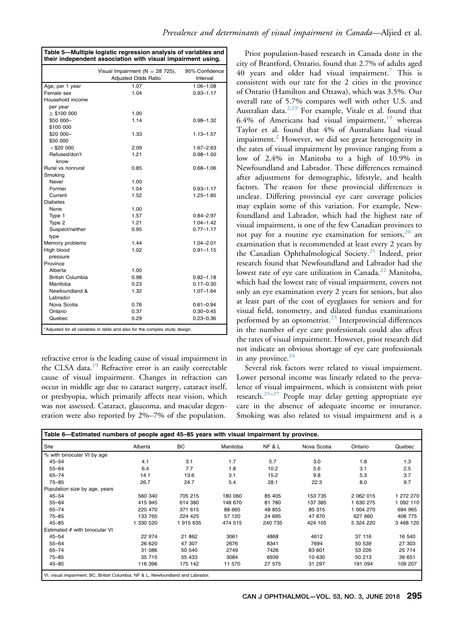<span id="page-4-0"></span>

| Table 5-Multiple logistic regression analysis of variables and<br>their independent association with visual impairment using. |                                                                             |                            |  |  |  |
|-------------------------------------------------------------------------------------------------------------------------------|-----------------------------------------------------------------------------|----------------------------|--|--|--|
|                                                                                                                               | Visual Impairment ( $N = 28725$ ),<br>Adjusted Odds Ratio <sup>*</sup>      | 95% Confidence<br>Interval |  |  |  |
| Age, per 1 year                                                                                                               | 1.07                                                                        | $1.06 - 1.08$              |  |  |  |
| Female sex                                                                                                                    | 1.04                                                                        | $0.93 - 1.17$              |  |  |  |
| Household income                                                                                                              |                                                                             |                            |  |  |  |
| per year                                                                                                                      |                                                                             |                            |  |  |  |
| $\geq$ \$100 000                                                                                                              | 1.00                                                                        |                            |  |  |  |
| \$50 000-                                                                                                                     | 1.14                                                                        | $0.98 - 1.32$              |  |  |  |
| \$100 000                                                                                                                     |                                                                             |                            |  |  |  |
| \$20 000-                                                                                                                     | 1.33                                                                        | $1.13 - 1.57$              |  |  |  |
| \$50 000                                                                                                                      |                                                                             |                            |  |  |  |
| $<$ \$20 000                                                                                                                  | 2.09                                                                        | $1.67 - 2.63$              |  |  |  |
| Refused/don't                                                                                                                 | 1.21                                                                        | $0.98 - 1.50$              |  |  |  |
| know                                                                                                                          |                                                                             |                            |  |  |  |
| Rural vs nonrural                                                                                                             | 0.85                                                                        | $0.68 - 1.06$              |  |  |  |
| Smoking                                                                                                                       |                                                                             |                            |  |  |  |
| Never                                                                                                                         | 1.00                                                                        |                            |  |  |  |
| Former                                                                                                                        | 1.04                                                                        | $0.93 - 1.17$              |  |  |  |
| Current                                                                                                                       | 1.52                                                                        | $1.25 - 1.85$              |  |  |  |
| <b>Diabetes</b>                                                                                                               |                                                                             |                            |  |  |  |
| None                                                                                                                          | 1.00                                                                        |                            |  |  |  |
| Type 1                                                                                                                        | 1.57                                                                        | $0.84 - 2.97$              |  |  |  |
| Type 2                                                                                                                        | 1.21                                                                        | $1.04 - 1.42$              |  |  |  |
| Suspect/neither                                                                                                               | 0.95                                                                        | $0.77 - 1.17$              |  |  |  |
| type                                                                                                                          |                                                                             |                            |  |  |  |
| Memory problems                                                                                                               | 1.44                                                                        | $1.04 - 2.01$              |  |  |  |
| High blood                                                                                                                    | 1.02                                                                        | $0.91 - 1.15$              |  |  |  |
| pressure                                                                                                                      |                                                                             |                            |  |  |  |
| Province                                                                                                                      |                                                                             |                            |  |  |  |
| Alberta                                                                                                                       | 1.00                                                                        |                            |  |  |  |
| <b>British Columbia</b>                                                                                                       | 0.98                                                                        | $0.82 - 1.18$              |  |  |  |
| Manitoba                                                                                                                      | 0.23                                                                        | $0.17 - 0.30$              |  |  |  |
| Newfoundland &                                                                                                                | 1.32                                                                        | $1.07 - 1.64$              |  |  |  |
| Labrador                                                                                                                      |                                                                             |                            |  |  |  |
| Nova Scotia                                                                                                                   | 0.76                                                                        | $0.61 - 0.94$              |  |  |  |
| Ontario                                                                                                                       | 0.37                                                                        | $0.30 - 0.45$              |  |  |  |
| Quebec                                                                                                                        | 0.29                                                                        | $0.23 - 0.36$              |  |  |  |
|                                                                                                                               | *Adjusted for all variables in table and also for the complex study design. |                            |  |  |  |

refractive error is the leading cause of visual impairment in the CLSA data.<sup>19</sup> Refractive error is an easily correctable cause of visual impairment. Changes in refraction can occur in middle age due to cataract surgery, cataract itself, or presbyopia, which primarily affects near vision, which was not assessed. Cataract, glaucoma, and macular degeneration were also reported by 2%–7% of the population.

Prior population-based research in Canada done in the city of Brantford, Ontario, found that 2.7% of adults aged 40 years and older had visual impairment.<sup>[7](#page-5-0)</sup> This is consistent with our rate for the 2 cities in the province of Ontario (Hamilton and Ottawa), which was 3.5%. Our overall rate of 5.7% compares well with other U.S. and Australian data.<sup>[2,](#page-5-0)[19](#page-6-0)</sup> For example, Vitale et al. found that 6.4% of Americans had visual impairment, $19$  whereas Taylor et al. found that 4% of Australians had visual impairment.<sup>[2](#page-5-0)</sup> However, we did see great heterogeneity in the rates of visual impairment by province ranging from a low of 2.4% in Manitoba to a high of 10.9% in Newfoundland and Labrador. These differences remained after adjustment for demographic, lifestyle, and health factors. The reason for these provincial differences is unclear. Differing provincial eye care coverage policies may explain some of this variation. For example, Newfoundland and Labrador, which had the highest rate of visual impairment, is one of the few Canadian provinces to not pay for a routine eye examination for seniors,  $20$  an examination that is recommended at least every 2 years by the Canadian Ophthalmological Society.<sup>[21](#page-6-0)</sup> Indeed, prior research found that Newfoundland and Labrador had the lowest rate of eye care utilization in Canada.<sup>[22](#page-6-0)</sup> Manitoba, which had the lowest rate of visual impairment, covers not only an eye examination every 2 years for seniors, but also at least part of the cost of eyeglasses for seniors and for visual field, tonometry, and dilated fundus examinations performed by an optometrist.<sup>[23](#page-6-0)</sup> Interprovincial differences in the number of eye care professionals could also affect the rates of visual impairment. However, prior research did not indicate an obvious shortage of eye care professionals in any province. $24$ 

Several risk factors were related to visual impairment. Lower personal income was linearly related to the prevalence of visual impairment, which is consistent with prior research. $25-27$  $25-27$  $25-27$  People may delay getting appropriate eye care in the absence of adequate income or insurance. Smoking was also related to visual impairment and is a

| Site                          | Alberta   | ВC        | Manitoba | <b>NF &amp; L</b> | Nova Scotia | Ontario   | Quebec    |
|-------------------------------|-----------|-----------|----------|-------------------|-------------|-----------|-----------|
| % with binocular VI by age    |           |           |          |                   |             |           |           |
| $45 - 54$                     | 4.1       | 3.1       | 1.7      | 5.7               | 3.0         | 1.8       | 1.3       |
| $55 - 64$                     | 6.4       | 7.7       | 1.8      | 10.2              | 5.6         | 3.1       | 2.5       |
| $65 - 74$                     | 14.1      | 13.6      | 3.1      | 15.2              | 9.8         | 5.3       | 3.7       |
| $75 - 85$                     | 26.7      | 24.7      | 5.4      | 28.1              | 22.3        | 8.0       | 9.7       |
| Population size by age, years |           |           |          |                   |             |           |           |
| $45 - 54$                     | 560 340   | 705 215   | 180 060  | 85 405            | 153 735     | 2 062 015 | 1 272 270 |
| $55 - 64$                     | 415 945   | 614 380   | 148 670  | 81 780            | 137 385     | 1 630 275 | 1 092 110 |
| $65 - 74$                     | 220 470   | 371 615   | 88 665   | 48 855            | 85 315      | 1 004 270 | 694 965   |
| 75-85                         | 133 765   | 224 425   | 57 120   | 24 695            | 47 670      | 627 660   | 408 775   |
| $45 - 85$                     | 1 330 520 | 1 915 635 | 474 515  | 240 735           | 424 105     | 5 324 220 | 3 468 120 |
| Estimated # with binocular VI |           |           |          |                   |             |           |           |
| $45 - 54$                     | 22 974    | 21 862    | 3061     | 4868              | 4612        | 37 116    | 16 540    |
| $55 - 64$                     | 26 620    | 47 307    | 2676     | 8341              | 7694        | 50 539    | 27 303    |
| $65 - 74$                     | 31 086    | 50 540    | 2749     | 7426              | 83 601      | 53 226    | 25 714    |
| $75 - 85$                     | 35 715    | 55 433    | 3084     | 6939              | 10 630      | 50 213    | 39 651    |
| $45 - 85$                     | 116 396   | 175 142   | 11 570   | 27 575            | 31 297      | 191 094   | 109 207   |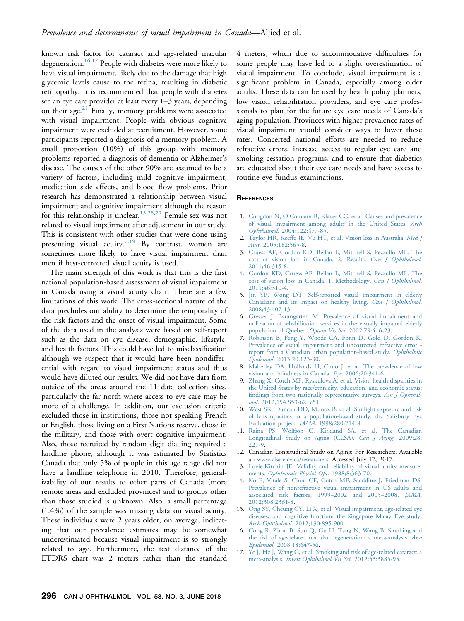<span id="page-5-0"></span>known risk factor for cataract and age-related macular degeneration.<sup>16,17</sup> People with diabetes were more likely to have visual impairment, likely due to the damage that high glycemic levels cause to the retina, resulting in diabetic retinopathy. It is recommended that people with diabetes see an eye care provider at least every 1–3 years, depending on their age.<sup>[21](#page-6-0)</sup> Finally, memory problems were associated with visual impairment. People with obvious cognitive impairment were excluded at recruitment. However, some participants reported a diagnosis of a memory problem. A small proportion (10%) of this group with memory problems reported a diagnosis of dementia or Alzheimer's disease. The causes of the other 90% are assumed to be a variety of factors, including mild cognitive impairment, medication side effects, and blood flow problems. Prior research has demonstrated a relationship between visual impairment and cognitive impairment although the reason for this relationship is unclear.<sup>15[,28,29](#page-6-0)</sup> Female sex was not related to visual impairment after adjustment in our study. This is consistent with other studies that were done using presenting visual acuity.<sup>7,[19](#page-6-0)</sup> By contrast, women are sometimes more likely to have visual impairment than men if best-corrected visual acuity is used.<sup>1</sup>

The main strength of this work is that this is the first national population-based assessment of visual impairment in Canada using a visual acuity chart. There are a few limitations of this work. The cross-sectional nature of the data precludes our ability to determine the temporality of the risk factors and the onset of visual impairment. Some of the data used in the analysis were based on self-report such as the data on eye disease, demographic, lifestyle, and health factors. This could have led to misclassification although we suspect that it would have been nondifferential with regard to visual impairment status and thus would have diluted our results. We did not have data from outside of the areas around the 11 data collection sites, particularly the far north where access to eye care may be more of a challenge. In addition, our exclusion criteria excluded those in institutions, those not speaking French or English, those living on a First Nations reserve, those in the military, and those with overt cognitive impairment. Also, those recruited by random digit dialling required a landline phone, although it was estimated by Statistics Canada that only 5% of people in this age range did not have a landline telephone in 2010. Therefore, generalizability of our results to other parts of Canada (more remote areas and excluded provinces) and to groups other than those studied is unknown. Also, a small percentage (1.4%) of the sample was missing data on visual acuity. These individuals were 2 years older, on average, indicating that our prevalence estimates may be somewhat underestimated because visual impairment is so strongly related to age. Furthermore, the test distance of the ETDRS chart was 2 meters rather than the standard

4 meters, which due to accommodative difficulties for some people may have led to a slight overestimation of visual impairment. To conclude, visual impairment is a significant problem in Canada, especially among older adults. These data can be used by health policy planners, low vision rehabilitation providers, and eye care professionals to plan for the future eye care needs of Canada's aging population. Provinces with higher prevalence rates of visual impairment should consider ways to lower these rates. Concerted national efforts are needed to reduce refractive errors, increase access to regular eye care and smoking cessation programs, and to ensure that diabetics are educated about their eye care needs and have access to routine eye fundus examinations.

#### **REFERENCES**

- 1. Congdon N, O'[Colmain B, Klaver CC, et al. Causes and prevalence](http://refhub.elsevier.com/S0008-4182(17)31135-3/sbref1) [of visual impairment among adults in the United States.](http://refhub.elsevier.com/S0008-4182(17)31135-3/sbref1) Arch Ophthalmol[. 2004;122:477-85.](http://refhub.elsevier.com/S0008-4182(17)31135-3/sbref1)
- 2. [Taylor HR, Keeffe JE, Vu HT, et al. Vision loss in Australia.](http://refhub.elsevier.com/S0008-4182(17)31135-3/sbref2) Med J Aust[. 2005;182:565-8.](http://refhub.elsevier.com/S0008-4182(17)31135-3/sbref2)
- 3. [Cruess AF, Gordon KD, Bellan L, Mitchell S, Pezzullo ML. The](http://refhub.elsevier.com/S0008-4182(17)31135-3/sbref3) [cost of vision loss in Canada. 2. Results.](http://refhub.elsevier.com/S0008-4182(17)31135-3/sbref3) Can J Ophthalmol. [2011;46:315-8.](http://refhub.elsevier.com/S0008-4182(17)31135-3/sbref3)
- 4. [Gordon KD, Cruess AF, Bellan L, Mitchell S, Pezzullo ML. The](http://refhub.elsevier.com/S0008-4182(17)31135-3/sbref4) [cost of vision loss in Canada. 1. Methodology.](http://refhub.elsevier.com/S0008-4182(17)31135-3/sbref4) Can J Ophthalmol. [2011;46:310-4.](http://refhub.elsevier.com/S0008-4182(17)31135-3/sbref4)
- 5. [Jin YP, Wong DT. Self-reported visual impairment in elderly](http://refhub.elsevier.com/S0008-4182(17)31135-3/sbref5) [Canadians and its impact on healthy living.](http://refhub.elsevier.com/S0008-4182(17)31135-3/sbref5) Can J Ophthalmol. [2008;43:407-13.](http://refhub.elsevier.com/S0008-4182(17)31135-3/sbref5)
- 6. [Gresset J, Baumgarten M. Prevalence of visual impairment and](http://refhub.elsevier.com/S0008-4182(17)31135-3/sbref6) [utilization of rehabilitation services in the visually impaired elderly](http://refhub.elsevier.com/S0008-4182(17)31135-3/sbref6) [population of Quebec.](http://refhub.elsevier.com/S0008-4182(17)31135-3/sbref6) Optom Vis Sci. 2002;79:416-23.
- 7. [Robinson B, Feng Y, Woods CA, Fonn D, Gold D, Gordon K.](http://refhub.elsevier.com/S0008-4182(17)31135-3/sbref7) [Prevalence of visual impairment and uncorrected refractive error](http://refhub.elsevier.com/S0008-4182(17)31135-3/sbref7)  [report from a Canadian urban population-based study.](http://refhub.elsevier.com/S0008-4182(17)31135-3/sbref7) Ophthalmic Epidemiol[. 2013;20:123-30.](http://refhub.elsevier.com/S0008-4182(17)31135-3/sbref7)
- 8. [Maberley DA, Hollands H, Chuo J, et al. The prevalence of low](http://refhub.elsevier.com/S0008-4182(17)31135-3/sbref8) [vision and blindness in Canada.](http://refhub.elsevier.com/S0008-4182(17)31135-3/sbref8) Eye. 2006;20:341-6.
- 9. [Zhang X, Cotch MF, Ryskulova A, et al. Vision health disparities in](http://refhub.elsevier.com/S0008-4182(17)31135-3/sbref9) [the United States by race/ethnicity, education, and economic status:](http://refhub.elsevier.com/S0008-4182(17)31135-3/sbref9) fi[ndings from two nationally representative surveys.](http://refhub.elsevier.com/S0008-4182(17)31135-3/sbref9) Am J Ophthal-mol[. 2012;154:S53-62. e51](http://refhub.elsevier.com/S0008-4182(17)31135-3/sbref9).
- 10. [West SK, Duncan DD, Munoz B, et al. Sunlight exposure and risk](http://refhub.elsevier.com/S0008-4182(17)31135-3/sbref10) [of lens opacities in a population-based study: the Salisbury Eye](http://refhub.elsevier.com/S0008-4182(17)31135-3/sbref10) [Evaluation project.](http://refhub.elsevier.com/S0008-4182(17)31135-3/sbref10) JAMA. 1998;280:714-8.
- 11. [Raina PS, Wolfson C, Kirkland SA, et al. The Canadian](http://refhub.elsevier.com/S0008-4182(17)31135-3/sbref11) [Longitudinal Study on Aging \(CLSA\).](http://refhub.elsevier.com/S0008-4182(17)31135-3/sbref11) Can J Aging. 2009;28: [221-9.](http://refhub.elsevier.com/S0008-4182(17)31135-3/sbref11)
- 12. Canadian Longitudinal Study on Aging: For Researchers. Available at: [www.clsa-elcv.ca/researchers](http://www.clsa-elcv.ca/researchers). Accessed July 17, 2017.
- 13. [Lovie-Kitchin JE. Validity and reliability of visual acuity measure](http://refhub.elsevier.com/S0008-4182(17)31135-3/sbref12)ments. [Ophthalmic Physiol Opt](http://refhub.elsevier.com/S0008-4182(17)31135-3/sbref12). 1988;8:363-70.
- 14. [Ko F, Vitale S, Chou CF, Cotch MF, Saaddine J, Friedman DS.](http://refhub.elsevier.com/S0008-4182(17)31135-3/sbref13) [Prevalence of nonrefractive visual impairment in US adults and](http://refhub.elsevier.com/S0008-4182(17)31135-3/sbref13) [associated risk factors, 1999](http://refhub.elsevier.com/S0008-4182(17)31135-3/sbref13)–2002 and 2005–2008. JAMA. [2012;308:2361-8.](http://refhub.elsevier.com/S0008-4182(17)31135-3/sbref13)
- 15. [Ong SY, Cheung CY, Li X, et al. Visual impairment, age-related eye](http://refhub.elsevier.com/S0008-4182(17)31135-3/sbref14) diseases, and cognitive [function: the Singapore Malay Eye study.](http://refhub.elsevier.com/S0008-4182(17)31135-3/sbref14) Arch Ophthalmol[. 2012;130:895-900.](http://refhub.elsevier.com/S0008-4182(17)31135-3/sbref14)
- 16. [Cong R, Zhou B, Sun Q, Gu H, Tang N, Wang B. Smoking and](http://refhub.elsevier.com/S0008-4182(17)31135-3/sbref15) [the risk of age-related macular degeneration: a meta-analysis.](http://refhub.elsevier.com/S0008-4182(17)31135-3/sbref15) Ann Epidemiol[. 2008;18:647-56.](http://refhub.elsevier.com/S0008-4182(17)31135-3/sbref15)
- 17. [Ye J, He J, Wang C, et al. Smoking and risk of age-related cataract: a](http://refhub.elsevier.com/S0008-4182(17)31135-3/sbref16) meta-analysis. *[Invest Ophthalmol Vis Sci](http://refhub.elsevier.com/S0008-4182(17)31135-3/sbref16).* 2012;53:3885-95.